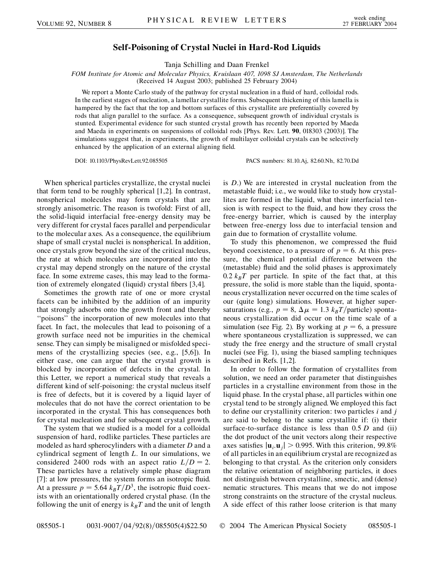## **Self-Poisoning of Crystal Nuclei in Hard-Rod Liquids**

Tanja Schilling and Daan Frenkel

*FOM Institute for Atomic and Molecular Physics, Kruislaan 407, 1098 SJ Amsterdam, The Netherlands* (Received 14 August 2003; published 25 February 2004)

We report a Monte Carlo study of the pathway for crystal nucleation in a fluid of hard, colloidal rods. In the earliest stages of nucleation, a lamellar crystallite forms. Subsequent thickening of this lamella is hampered by the fact that the top and bottom surfaces of this crystallite are preferentially covered by rods that align parallel to the surface. As a consequence, subsequent growth of individual crystals is stunted. Experimental evidence for such stunted crystal growth has recently been reported by Maeda and Maeda in experiments on suspensions of colloidal rods [Phys. Rev. Lett. **90**, 018303 (2003)]. The simulations suggest that, in experiments, the growth of multilayer colloidal crystals can be selectively enhanced by the application of an external aligning field.

DOI: 10.1103/PhysRevLett.92.085505 PACS numbers: 81.10.Aj, 82.60.Nh, 82.70.Dd

When spherical particles crystallize, the crystal nuclei that form tend to be roughly spherical [1,2]. In contrast, nonspherical molecules may form crystals that are strongly anisometric. The reason is twofold: First of all, the solid-liquid interfacial free-energy density may be very different for crystal faces parallel and perpendicular to the molecular axes. As a consequence, the equilibrium shape of small crystal nuclei is nonspherical. In addition, once crystals grow beyond the size of the critical nucleus, the rate at which molecules are incorporated into the crystal may depend strongly on the nature of the crystal face. In some extreme cases, this may lead to the formation of extremely elongated (liquid) crystal fibers [3,4].

Sometimes the growth rate of one or more crystal facets can be inhibited by the addition of an impurity that strongly adsorbs onto the growth front and thereby ''poisons'' the incorporation of new molecules into that facet. In fact, the molecules that lead to poisoning of a growth surface need not be impurities in the chemical sense. They can simply be misaligned or misfolded specimens of the crystallizing species (see, e.g., [5,6]). In either case, one can argue that the crystal growth is blocked by incorporation of defects in the crystal. In this Letter, we report a numerical study that reveals a different kind of self-poisoning: the crystal nucleus itself is free of defects, but it is covered by a liquid layer of molecules that do not have the correct orientation to be incorporated in the crystal. This has consequences both for crystal nucleation and for subsequent crystal growth.

The system that we studied is a model for a colloidal suspension of hard, rodlike particles. These particles are modeled as hard spherocylinders with a diameter *D* and a cylindrical segment of length *L*. In our simulations, we considered 2400 rods with an aspect ratio  $L/D = 2$ . These particles have a relatively simple phase diagram [7]: at low pressures, the system forms an isotropic fluid. At a pressure  $p = 5.64 k_B T/D^3$ , the isotropic fluid coexists with an orientationally ordered crystal phase. (In the following the unit of energy is  $k_B T$  and the unit of length is *D*.) We are interested in crystal nucleation from the metastable fluid; i.e., we would like to study how crystallites are formed in the liquid, what their interfacial tension is with respect to the fluid, and how they cross the free-energy barrier, which is caused by the interplay between free-energy loss due to interfacial tension and gain due to formation of crystallite volume.

To study this phenomenon, we compressed the fluid beyond coexistence, to a pressure of  $p = 6$ . At this pressure, the chemical potential difference between the (metastable) fluid and the solid phases is approximately  $0.2$   $k_B T$  per particle. In spite of the fact that, at this pressure, the solid is more stable than the liquid, spontaneous crystallization never occurred on the time scales of our (quite long) simulations. However, at higher supersaturations (e.g.,  $p = 8$ ,  $\Delta \mu = 1.3$   $k_B T$ /particle) spontaneous crystallization did occur on the time scale of a simulation (see Fig. 2). By working at  $p = 6$ , a pressure where spontaneous crystallization is suppressed, we can study the free energy and the structure of small crystal nuclei (see Fig. 1), using the biased sampling techniques described in Refs. [1,2].

In order to follow the formation of crystallites from solution, we need an order parameter that distinguishes particles in a crystalline environment from those in the liquid phase. In the crystal phase, all particles within one crystal tend to be strongly aligned. We employed this fact to define our crystallinity criterion: two particles *i* and *j* are said to belong to the same crystallite if: (i) their surface-to-surface distance is less than 0*:*5 *D* and (ii) the dot product of the unit vectors along their respective axes satisfies  $|\mathbf{u}_i \cdot \mathbf{u}_j| > 0.995$ . With this criterion, 99.8% of all particles in an equilibrium crystal are recognized as belonging to that crystal. As the criterion only considers the relative orientation of neighboring particles, it does not distinguish between crystalline, smectic, and (dense) nematic structures. This means that we do not impose strong constraints on the structure of the crystal nucleus. A side effect of this rather loose criterion is that many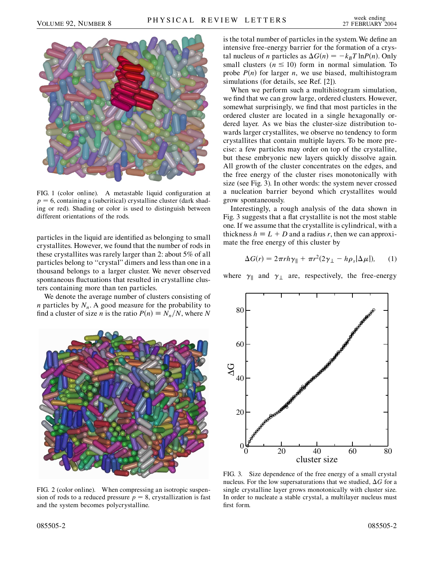

FIG. 1 (color online). A metastable liquid configuration at  $p = 6$ , containing a (subcritical) crystalline cluster (dark shading or red). Shading or color is used to distinguish between different orientations of the rods.

particles in the liquid are identified as belonging to small crystallites. However, we found that the number of rods in these crystallites was rarely larger than 2: about 5% of all particles belong to ''crystal'' dimers and less than one in a thousand belongs to a larger cluster. We never observed spontaneous fluctuations that resulted in crystalline clusters containing more than ten particles.

We denote the average number of clusters consisting of *n* particles by  $N_n$ . A good measure for the probability to find a cluster of size *n* is the ratio  $P(n) \equiv N_n/N$ , where *N* 



FIG. 2 (color online). When compressing an isotropic suspension of rods to a reduced pressure  $p = 8$ , crystallization is fast and the system becomes polycrystalline.

is the total number of particles in the system.We define an intensive free-energy barrier for the formation of a crystal nucleus of *n* particles as  $\Delta G(n) = -k_B T \ln P(n)$ . Only small clusters  $(n \leq 10)$  form in normal simulation. To probe  $P(n)$  for larger *n*, we use biased, multihistogram simulations (for details, see Ref. [2]).

When we perform such a multihistogram simulation, we find that we can grow large, ordered clusters. However, somewhat surprisingly, we find that most particles in the ordered cluster are located in a single hexagonally ordered layer. As we bias the cluster-size distribution towards larger crystallites, we observe no tendency to form crystallites that contain multiple layers. To be more precise: a few particles may order on top of the crystallite, but these embryonic new layers quickly dissolve again. All growth of the cluster concentrates on the edges, and the free energy of the cluster rises monotonically with size (see Fig. 3). In other words: the system never crossed a nucleation barrier beyond which crystallites would grow spontaneously.

Interestingly, a rough analysis of the data shown in Fig. 3 suggests that a flat crystallite is not the most stable one. If we assume that the crystallite is cylindrical, with a thickness  $h \equiv L + D$  and a radius *r*, then we can approximate the free energy of this cluster by

$$
\Delta G(r) = 2\pi rh\gamma_{\parallel} + \pi r^2 (2\gamma_{\perp} - h\rho_s|\Delta\mu|), \qquad (1)
$$

where  $\gamma_{\parallel}$  and  $\gamma_{\perp}$  are, respectively, the free-energy



FIG. 3. Size dependence of the free energy of a small crystal nucleus. For the low supersaturations that we studied,  $\Delta G$  for a single crystalline layer grows monotonically with cluster size. In order to nucleate a stable crystal, a multilayer nucleus must first form.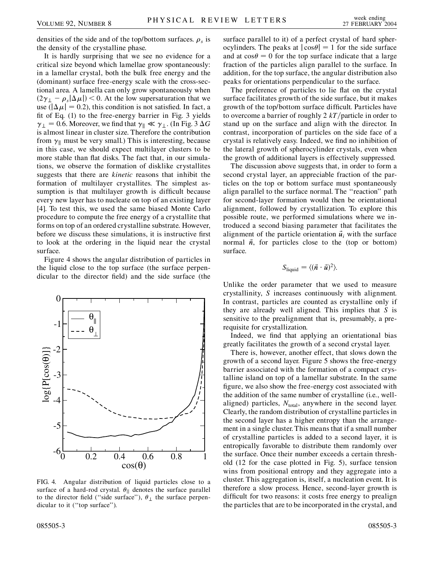densities of the side and of the top/bottom surfaces.  $\rho_s$  is the density of the crystalline phase.

It is hardly surprising that we see no evidence for a critical size beyond which lamellae grow spontaneously: in a lamellar crystal, both the bulk free energy and the (dominant) surface free-energy scale with the cross-sectional area. A lamella can only grow spontaneously when  $(2\gamma_{\perp} - \rho_s|\Delta\mu|)$  < 0. At the low supersaturation that we use ( $|\Delta \mu|$  = 0.2), this condition is not satisfied. In fact, a fit of Eq. (1) to the free-energy barrier in Fig. 3 yields  $\gamma_{\perp} = 0.6$ . Moreover, we find that  $\gamma_{\parallel} \ll \gamma_{\perp}$ . (In Fig. 3  $\Delta G$ is almost linear in cluster size. Therefore the contribution from  $\gamma_{\parallel}$  must be very small.) This is interesting, because in this case, we should expect multilayer clusters to be more stable than flat disks. The fact that, in our simulations, we observe the formation of disklike crystallites suggests that there are *kinetic* reasons that inhibit the formation of multilayer crystallites. The simplest assumption is that multilayer growth is difficult because every new layer has to nucleate on top of an existing layer [4]. To test this, we used the same biased Monte Carlo procedure to compute the free energy of a crystallite that forms on top of an ordered crystalline substrate. However, before we discuss these simulations, it is instructive first to look at the ordering in the liquid near the crystal surface.

Figure 4 shows the angular distribution of particles in the liquid close to the top surface (the surface perpendicular to the director field) and the side surface (the



FIG. 4. Angular distribution of liquid particles close to a surface of a hard-rod crystal.  $\theta_{\parallel}$  denotes the surface parallel to the director field ("side surface"),  $\theta_{\perp}$  the surface perpendicular to it ("top surface").

surface parallel to it) of a perfect crystal of hard spherocylinders. The peaks at  $|\cos\theta| = 1$  for the side surface and at  $\cos \theta = 0$  for the top surface indicate that a large fraction of the particles align parallel to the surface. In addition, for the top surface, the angular distribution also peaks for orientations perpendicular to the surface.

The preference of particles to lie flat on the crystal surface facilitates growth of the side surface, but it makes growth of the top/bottom surface difficult. Particles have to overcome a barrier of roughly 2 *kT*/particle in order to stand up on the surface and align with the director. In contrast, incorporation of particles on the side face of a crystal is relatively easy. Indeed, we find no inhibition of the lateral growth of spherocylinder crystals, even when the growth of additional layers is effectively suppressed.

The discussion above suggests that, in order to form a second crystal layer, an appreciable fraction of the particles on the top or bottom surface must spontaneously align parallel to the surface normal. The ''reaction'' path for second-layer formation would then be orientational alignment, followed by crystallization. To explore this possible route, we performed simulations where we introduced a second biasing parameter that facilitates the alignment of the particle orientation  $\vec{u}_i$  with the surface normal  $\vec{n}$ , for particles close to the (top or bottom) surface.

$$
S_{\text{liquid}} = \langle (\vec{n} \cdot \vec{u})^2 \rangle.
$$

Unlike the order parameter that we used to measure crystallinity, *S* increases continuously with alignment. In contrast, particles are counted as crystalline only if they are already well aligned. This implies that *S* is sensitive to the prealignment that is, presumably, a prerequisite for crystallization.

Indeed, we find that applying an orientational bias greatly facilitates the growth of a second crystal layer.

There is, however, another effect, that slows down the growth of a second layer. Figure 5 shows the free-energy barrier associated with the formation of a compact crystalline island on top of a lamellar substrate. In the same figure, we also show the free-energy cost associated with the addition of the same number of crystalline (i.e., wellaligned) particles,  $N_{\text{total}}$ , anywhere in the second layer. Clearly, the random distribution of crystalline particles in the second layer has a higher entropy than the arrangement in a single cluster. This means that if a small number of crystalline particles is added to a second layer, it is entropically favorable to distribute them randomly over the surface. Once their number exceeds a certain threshold (12 for the case plotted in Fig. 5), surface tension wins from positional entropy and they aggregate into a cluster. This aggregation is, itself, a nucleation event. It is therefore a slow process. Hence, second-layer growth is difficult for two reasons: it costs free energy to prealign the particles that are to be incorporated in the crystal, and